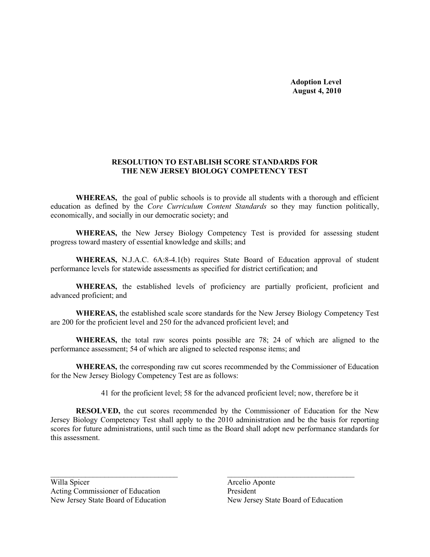#### RESOLUTION TO ESTABLISH SCORE STANDARDS FOR THE NEW JERSEY BIOLOGY COMPETENCY TEST

WHEREAS, the goal of public schools is to provide all students with a thorough and efficient education as defined by the *Core Curriculum Content Standards* so they may function politically, economically, and socially in our democratic society; and

WHEREAS, the New Jersey Biology Competency Test is provided for assessing student progress toward mastery of essential knowledge and skills; and

WHEREAS, N.J.A.C. 6A:8-4.1(b) requires State Board of Education approval of student performance levels for statewide assessments as specified for district certification; and

WHEREAS, the established levels of proficiency are partially proficient, proficient and advanced proficient; and

WHEREAS, the established scale score standards for the New Jersey Biology Competency Test are 200 for the proficient level and 250 for the advanced proficient level; and

WHEREAS, the total raw scores points possible are 78; 24 of which are aligned to the performance assessment; 54 of which are aligned to selected response items; and

WHEREAS, the corresponding raw cut scores recommended by the Commissioner of Education for the New Jersey Biology Competency Test are as follows:

41 for the proficient level; 58 for the advanced proficient level; now, therefore be it

RESOLVED, the cut scores recommended by the Commissioner of Education for the New Jersey Biology Competency Test shall apply to the 2010 administration and be the basis for reporting scores for future administrations, until such time as the Board shall adopt new performance standards for this assessment.

 $\mathcal{L}_\text{max}$  , and the contract of the contract of the contract of the contract of the contract of the contract of the contract of the contract of the contract of the contract of the contract of the contract of the contr

Willa Spicer Arcelio Aponte Acting Commissioner of Education President

New Jersey State Board of Education New Jersey State Board of Education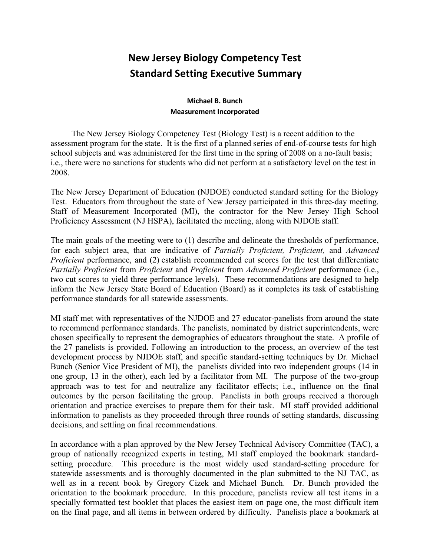# New Jersey Biology Competency Test Standard Setting Executive Summary

## Michael B. Bunch Measurement Incorporated

 The New Jersey Biology Competency Test (Biology Test) is a recent addition to the assessment program for the state. It is the first of a planned series of end-of-course tests for high school subjects and was administered for the first time in the spring of 2008 on a no-fault basis; i.e., there were no sanctions for students who did not perform at a satisfactory level on the test in 2008.

 The New Jersey Department of Education (NJDOE) conducted standard setting for the Biology Test. Educators from throughout the state of New Jersey participated in this three-day meeting. Staff of Measurement Incorporated (MI), the contractor for the New Jersey High School Proficiency Assessment (NJ HSPA), facilitated the meeting, along with NJDOE staff.

The main goals of the meeting were to (1) describe and delineate the thresholds of performance, for each subject area, that are indicative of Partially Proficient, Proficient, and Advanced Proficient performance, and (2) establish recommended cut scores for the test that differentiate Partially Proficient from Proficient and Proficient from Advanced Proficient performance (i.e., two cut scores to yield three performance levels). These recommendations are designed to help inform the New Jersey State Board of Education (Board) as it completes its task of establishing performance standards for all statewide assessments.

MI staff met with representatives of the NJDOE and 27 educator-panelists from around the state to recommend performance standards. The panelists, nominated by district superintendents, were chosen specifically to represent the demographics of educators throughout the state. A profile of the 27 panelists is provided. Following an introduction to the process, an overview of the test development process by NJDOE staff, and specific standard-setting techniques by Dr. Michael Bunch (Senior Vice President of MI), the panelists divided into two independent groups (14 in one group, 13 in the other), each led by a facilitator from MI. The purpose of the two-group approach was to test for and neutralize any facilitator effects; i.e., influence on the final outcomes by the person facilitating the group. Panelists in both groups received a thorough orientation and practice exercises to prepare them for their task. MI staff provided additional information to panelists as they proceeded through three rounds of setting standards, discussing decisions, and settling on final recommendations.

In accordance with a plan approved by the New Jersey Technical Advisory Committee (TAC), a group of nationally recognized experts in testing, MI staff employed the bookmark standardsetting procedure. This procedure is the most widely used standard-setting procedure for statewide assessments and is thoroughly documented in the plan submitted to the NJ TAC, as well as in a recent book by Gregory Cizek and Michael Bunch. Dr. Bunch provided the orientation to the bookmark procedure. In this procedure, panelists review all test items in a specially formatted test booklet that places the easiest item on page one, the most difficult item on the final page, and all items in between ordered by difficulty. Panelists place a bookmark at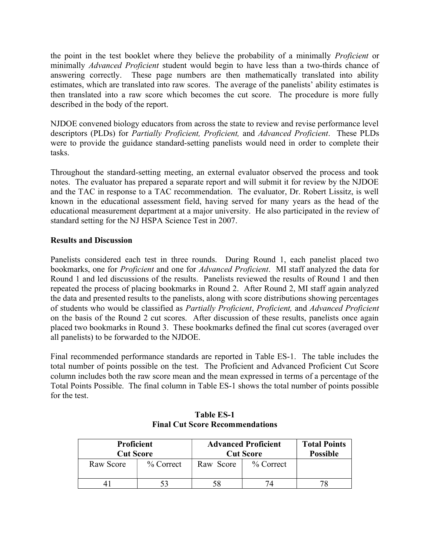the point in the test booklet where they believe the probability of a minimally *Proficient* or minimally *Advanced Proficient* student would begin to have less than a two-thirds chance of answering correctly. These page numbers are then mathematically translated into ability estimates, which are translated into raw scores. The average of the panelists' ability estimates is then translated into a raw score which becomes the cut score. The procedure is more fully described in the body of the report.

NJDOE convened biology educators from across the state to review and revise performance level descriptors (PLDs) for *Partially Proficient*, *Proficient*, and *Advanced Proficient*. These PLDs were to provide the guidance standard-setting panelists would need in order to complete their tasks.

Throughout the standard-setting meeting, an external evaluator observed the process and took notes. The evaluator has prepared a separate report and will submit it for review by the NJDOE and the TAC in response to a TAC recommendation. The evaluator, Dr. Robert Lissitz, is well known in the educational assessment field, having served for many years as the head of the educational measurement department at a major university. He also participated in the review of standard setting for the NJ HSPA Science Test in 2007.

### Results and Discussion

Panelists considered each test in three rounds. During Round 1, each panelist placed two bookmarks, one for Proficient and one for Advanced Proficient. MI staff analyzed the data for Round 1 and led discussions of the results. Panelists reviewed the results of Round 1 and then repeated the process of placing bookmarks in Round 2. After Round 2, MI staff again analyzed the data and presented results to the panelists, along with score distributions showing percentages of students who would be classified as Partially Proficient, Proficient, and Advanced Proficient on the basis of the Round 2 cut scores. After discussion of these results, panelists once again placed two bookmarks in Round 3. These bookmarks defined the final cut scores (averaged over all panelists) to be forwarded to the NJDOE.

Final recommended performance standards are reported in Table ES-1. The table includes the total number of points possible on the test. The Proficient and Advanced Proficient Cut Score column includes both the raw score mean and the mean expressed in terms of a percentage of the Total Points Possible. The final column in Table ES-1 shows the total number of points possible for the test.

| <b>Proficient</b><br><b>Cut Score</b> |              | <b>Advanced Proficient</b><br><b>Cut Score</b> | <b>Total Points</b><br><b>Possible</b> |  |
|---------------------------------------|--------------|------------------------------------------------|----------------------------------------|--|
| Raw Score                             | $\%$ Correct | Raw Score                                      | $\%$ Correct                           |  |
|                                       |              |                                                |                                        |  |

#### Table ES-1 Final Cut Score Recommendations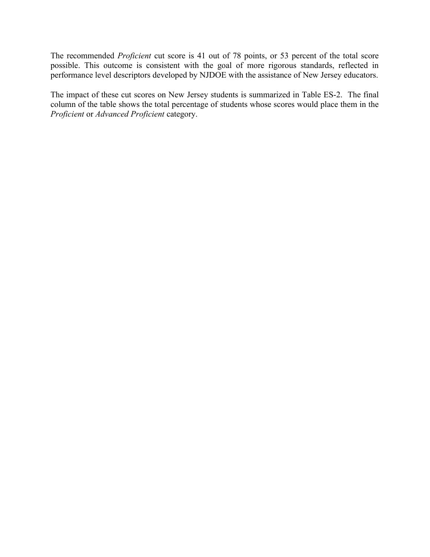The recommended *Proficient* cut score is 41 out of 78 points, or 53 percent of the total score possible. This outcome is consistent with the goal of more rigorous standards, reflected in performance level descriptors developed by NJDOE with the assistance of New Jersey educators.

The impact of these cut scores on New Jersey students is summarized in Table ES-2. The final column of the table shows the total percentage of students whose scores would place them in the Proficient or Advanced Proficient category.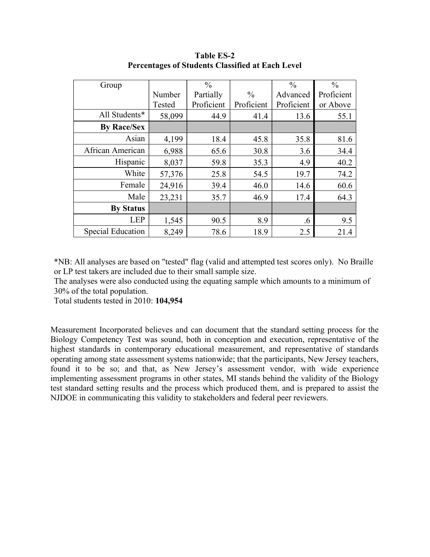| Group                    |        | $\frac{0}{0}$ |               | $\frac{0}{0}$ | $\frac{0}{0}$ |
|--------------------------|--------|---------------|---------------|---------------|---------------|
|                          | Number | Partially     | $\frac{0}{0}$ | Advanced      | Proficient    |
|                          | Tested | Proficient    | Proficient    | Proficient    | or Above      |
| All Students*            | 58,099 | 44.9          | 41.4          | 13.6          | 55.1          |
| <b>By Race/Sex</b>       |        |               |               |               |               |
| Asian                    | 4,199  | 18.4          | 45.8          | 35.8          | 81.6          |
| African American         | 6,988  | 65.6          | 30.8          | 3.6           | 34.4          |
| Hispanic                 | 8,037  | 59.8          | 35.3          | 4.9           | 40.2          |
| White                    | 57,376 | 25.8          | 54.5          | 19.7          | 74.2          |
| Female                   | 24,916 | 39.4          | 46.0          | 14.6          | 60.6          |
| Male                     | 23,231 | 35.7          | 46.9          | 17.4          | 64.3          |
| <b>By Status</b>         |        |               |               |               |               |
| <b>LEP</b>               | 1,545  | 90.5          | 8.9           | .6            | 9.5           |
| <b>Special Education</b> | 8,249  | 78.6          | 18.9          | 2.5           | 21.4          |

Table ES-2 Percentages of Students Classified at Each Level

\*NB: All analyses are based on "tested" flag (valid and attempted test scores only). No Braille or LP test takers are included due to their small sample size.

The analyses were also conducted using the equating sample which amounts to a minimum of 30% of the total population.

Total students tested in 2010: 104,954

Measurement Incorporated believes and can document that the standard setting process for the Biology Competency Test was sound, both in conception and execution, representative of the highest standards in contemporary educational measurement, and representative of standards operating among state assessment systems nationwide; that the participants, New Jersey teachers, found it to be so; and that, as New Jersey's assessment vendor, with wide experience implementing assessment programs in other states, MI stands behind the validity of the Biology test standard setting results and the process which produced them, and is prepared to assist the NJDOE in communicating this validity to stakeholders and federal peer reviewers.